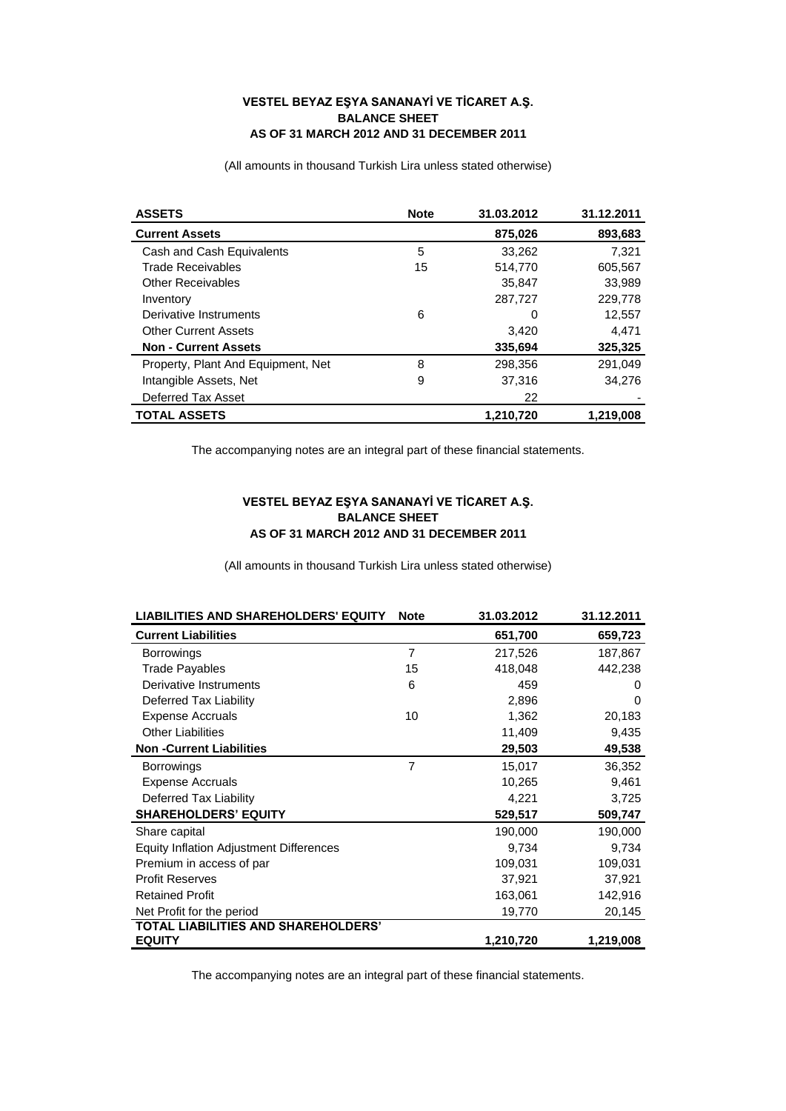## **VESTEL BEYAZ EŞYA SANANAYİ VE TİCARET A.Ş. BALANCE SHEET AS OF 31 MARCH 2012 AND 31 DECEMBER 2011**

(All amounts in thousand Turkish Lira unless stated otherwise)

| <b>ASSETS</b>                      | <b>Note</b> | 31.03.2012 | 31.12.2011 |
|------------------------------------|-------------|------------|------------|
| <b>Current Assets</b>              |             | 875,026    | 893,683    |
| Cash and Cash Equivalents          | 5           | 33,262     | 7.321      |
| <b>Trade Receivables</b>           | 15          | 514,770    | 605,567    |
| <b>Other Receivables</b>           |             | 35,847     | 33,989     |
| Inventory                          |             | 287,727    | 229,778    |
| Derivative Instruments             | 6           | 0          | 12,557     |
| <b>Other Current Assets</b>        |             | 3,420      | 4,471      |
| <b>Non - Current Assets</b>        |             | 335,694    | 325,325    |
| Property, Plant And Equipment, Net | 8           | 298,356    | 291.049    |
| Intangible Assets, Net             | 9           | 37,316     | 34.276     |
| Deferred Tax Asset                 |             | 22         |            |
| <b>TOTAL ASSETS</b>                |             | 1,210,720  | 1,219,008  |

The accompanying notes are an integral part of these financial statements.

## **VESTEL BEYAZ EŞYA SANANAYİ VE TİCARET A.Ş. BALANCE SHEET AS OF 31 MARCH 2012 AND 31 DECEMBER 2011**

(All amounts in thousand Turkish Lira unless stated otherwise)

| <b>LIABILITIES AND SHAREHOLDERS' EQUITY</b>    | <b>Note</b>    | 31.03.2012 | 31.12.2011 |
|------------------------------------------------|----------------|------------|------------|
| <b>Current Liabilities</b>                     |                | 651,700    | 659,723    |
| <b>Borrowings</b>                              | $\overline{7}$ | 217,526    | 187,867    |
| <b>Trade Payables</b>                          | 15             | 418,048    | 442,238    |
| Derivative Instruments                         | 6              | 459        | 0          |
| Deferred Tax Liability                         |                | 2,896      | 0          |
| <b>Expense Accruals</b>                        | 10             | 1,362      | 20,183     |
| <b>Other Liabilities</b>                       |                | 11,409     | 9,435      |
| <b>Non-Current Liabilities</b>                 |                | 29,503     | 49,538     |
| <b>Borrowings</b>                              | $\overline{7}$ | 15,017     | 36,352     |
| <b>Expense Accruals</b>                        |                | 10,265     | 9,461      |
| Deferred Tax Liability                         |                | 4,221      | 3,725      |
| <b>SHAREHOLDERS' EQUITY</b>                    |                | 529,517    | 509,747    |
| Share capital                                  |                | 190,000    | 190,000    |
| <b>Equity Inflation Adjustment Differences</b> |                | 9,734      | 9,734      |
| Premium in access of par                       |                | 109,031    | 109,031    |
| <b>Profit Reserves</b>                         |                | 37,921     | 37,921     |
| <b>Retained Profit</b>                         |                | 163,061    | 142,916    |
| Net Profit for the period                      |                | 19,770     | 20,145     |
| <b>TOTAL LIABILITIES AND SHAREHOLDERS'</b>     |                |            |            |
| <b>EQUITY</b>                                  |                | 1,210,720  | 1,219,008  |

The accompanying notes are an integral part of these financial statements.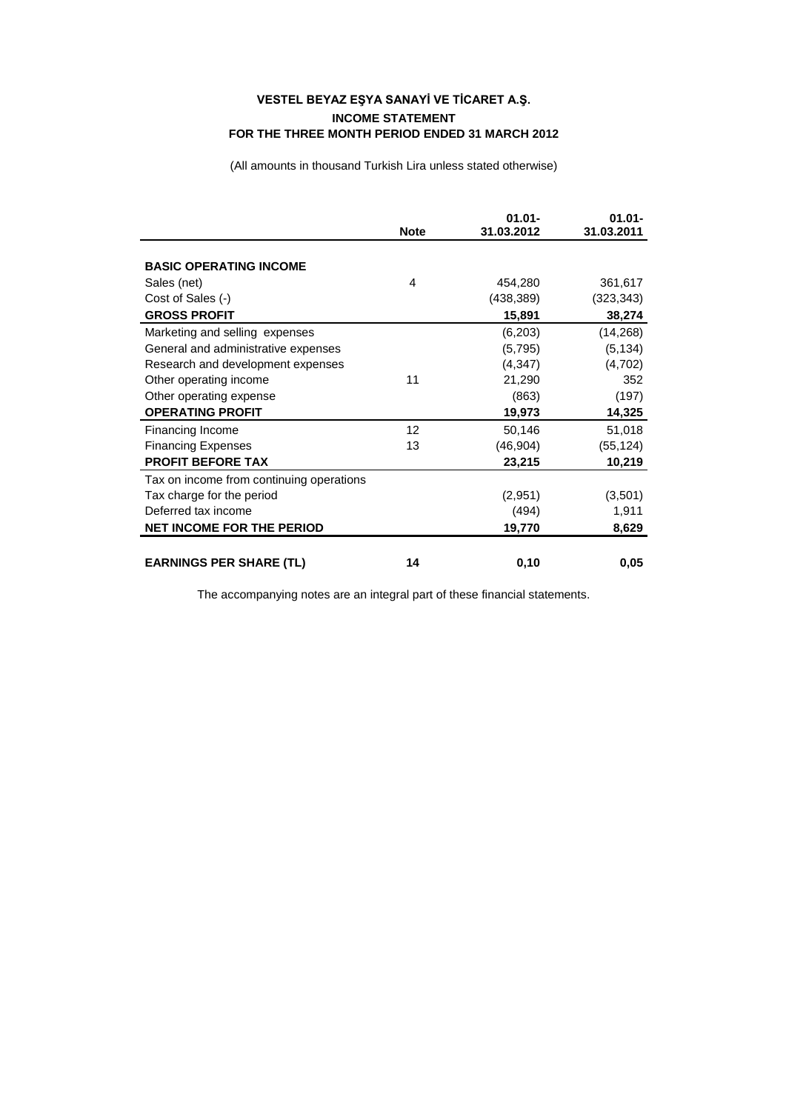## **VESTEL BEYAZ EŞYA SANAYİ VE TİCARET A.Ş. INCOME STATEMENT FOR THE THREE MONTH PERIOD ENDED 31 MARCH 2012**

(All amounts in thousand Turkish Lira unless stated otherwise)

|                                          | <b>Note</b> | $01.01 -$<br>31.03.2012 | $01.01 -$<br>31.03.2011 |
|------------------------------------------|-------------|-------------------------|-------------------------|
|                                          |             |                         |                         |
| <b>BASIC OPERATING INCOME</b>            |             |                         |                         |
| Sales (net)                              | 4           | 454,280                 | 361,617                 |
| Cost of Sales (-)                        |             | (438, 389)              | (323,343)               |
| <b>GROSS PROFIT</b>                      |             | 15,891                  | 38,274                  |
| Marketing and selling expenses           |             | (6,203)                 | (14,268)                |
| General and administrative expenses      |             | (5, 795)                | (5, 134)                |
| Research and development expenses        |             | (4, 347)                | (4,702)                 |
| Other operating income                   | 11          | 21,290                  | 352                     |
| Other operating expense                  |             | (863)                   | (197)                   |
| <b>OPERATING PROFIT</b>                  |             | 19,973                  | 14,325                  |
| Financing Income                         | 12          | 50,146                  | 51,018                  |
| <b>Financing Expenses</b>                | 13          | (46, 904)               | (55, 124)               |
| <b>PROFIT BEFORE TAX</b>                 |             | 23,215                  | 10,219                  |
| Tax on income from continuing operations |             |                         |                         |
| Tax charge for the period                |             | (2,951)                 | (3,501)                 |
| Deferred tax income                      |             | (494)                   | 1,911                   |
| <b>NET INCOME FOR THE PERIOD</b>         |             | 19,770                  | 8,629                   |
|                                          |             |                         |                         |
| <b>EARNINGS PER SHARE (TL)</b>           | 14          | 0,10                    | 0,05                    |

The accompanying notes are an integral part of these financial statements.